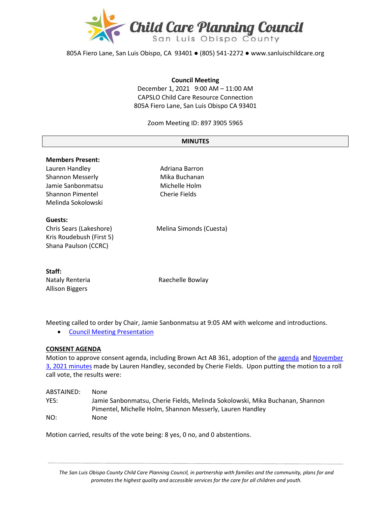

805A Fiero Lane, San Luis Obispo, CA 93401 ● (805) 541-2272 ● www.sanluischildcare.org

#### **Council Meeting**

December 1, 2021 9:00 AM – 11:00 AM CAPSLO Child Care Resource Connection 805A Fiero Lane, San Luis Obispo CA 93401

Zoom Meeting ID: 897 3905 5965

#### **MINUTES**

| <b>Members Present:</b>  |                         |
|--------------------------|-------------------------|
| Lauren Handley           | Adriana Barron          |
| <b>Shannon Messerly</b>  | Mika Buchanan           |
| Jamie Sanbonmatsu        | Michelle Holm           |
| Shannon Pimentel         | Cherie Fields           |
| Melinda Sokolowski       |                         |
| Guests:                  |                         |
| Chris Sears (Lakeshore)  | Melina Simonds (Cuesta) |
| Kris Roudebush (First 5) |                         |
| Shana Paulson (CCRC)     |                         |
| Staff:                   |                         |

Nataly Renteria **Raechelle Bowlay** 

Meeting called to order by Chair, Jamie Sanbonmatsu at 9:05 AM with welcome and introductions.

• [Council Meeting Presentation](https://www.canva.com/design/DAEwrVWhiEU/PeWiiYkqRgXZBNMhdIvL_w/view?utm_content=DAEwrVWhiEU&utm_campaign=designshare&utm_medium=link&utm_source=publishsharelink)

#### **CONSENT AGENDA**

Allison Biggers

Motion to approve consent agenda, including Brown Act AB 361, adoption of th[e agenda](https://drive.google.com/file/d/1EJO1ShaJFTs3EhHBHbJdpqKrJCYd1s-v/view?usp=sharing) and [November](https://drive.google.com/file/d/1ZWcWWUlQx4LW-tK8LN9U8JuxZrRxQrN-/view?usp=sharing)  3[, 2021 minutes](https://drive.google.com/file/d/1ZWcWWUlQx4LW-tK8LN9U8JuxZrRxQrN-/view?usp=sharing) made by Lauren Handley, seconded by Cherie Fields. Upon putting the motion to a roll call vote, the results were:

| ABSTAINED: | None                                                                         |
|------------|------------------------------------------------------------------------------|
| YES:       | Jamie Sanbonmatsu, Cherie Fields, Melinda Sokolowski, Mika Buchanan, Shannon |
|            | Pimentel, Michelle Holm, Shannon Messerly, Lauren Handley                    |
| NO:        | None                                                                         |

Motion carried, results of the vote being: 8 yes, 0 no, and 0 abstentions.

*The San Luis Obispo County Child Care Planning Council, in partnership with families and the community, plans for and promotes the highest quality and accessible services for the care for all children and youth.*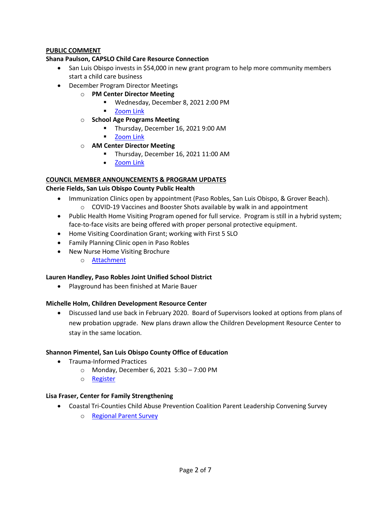## **PUBLIC COMMENT**

### **Shana Paulson, CAPSLO Child Care Resource Connection**

- San Luis Obispo invests in \$54,000 in new grant program to help more community members start a child care business
- December Program Director Meetings
	- o **PM Center Director Meeting**
		- Wednesday, December 8, 2021 2:00 PM
		- **E** [Zoom Link](https://us02web.zoom.us/j/86236744030?pwd=V0p4VXpuTjIrMFBEbkxpUTc5TXZFUT09)
	- o **School Age Programs Meeting**
		- Thursday, December 16, 2021 9:00 AM
		- **Example 12**
	- o **AM Center Director Meeting**
		- Thursday, December 16, 2021 11:00 AM
		- [Zoom Link](https://us02web.zoom.us/j/86390022823?pwd=ZWJIZld4NVBzdHBERVMwWEdjZ3htZz09)

# **COUNCIL MEMBER ANNOUNCEMENTS & PROGRAM UPDATES**

### **Cherie Fields, San Luis Obispo County Public Health**

- Immunization Clinics open by appointment (Paso Robles, San Luis Obispo, & Grover Beach). o COVID-19 Vaccines and Booster Shots available by walk in and appointment
- Public Health Home Visiting Program opened for full service. Program is still in a hybrid system; face-to-face visits are being offered with proper personal protective equipment.
- Home Visiting Coordination Grant; working with First 5 SLO
- Family Planning Clinic open in Paso Robles
- New Nurse Home Visiting Brochure
	- o Attachment

### **Lauren Handley, Paso Robles Joint Unified School District**

• Playground has been finished at Marie Bauer

### **Michelle Holm, Children Development Resource Center**

• Discussed land use back in February 2020. Board of Supervisors looked at options from plans of new probation upgrade. New plans drawn allow the Children Development Resource Center to stay in the same location.

### **Shannon Pimentel, San Luis Obispo County Office of Education**

- Trauma-Informed Practices
	- o Monday, December 6, 2021 5:30 7:00 PM
	- o [Register](https://slocoe.k12oms.org/964-211945)

### **Lisa Fraser, Center for Family Strengthening**

- Coastal Tri-Counties Child Abuse Prevention Coalition Parent Leadership Convening Survey
	- o [Regional Parent Survey](https://docs.google.com/forms/d/e/1FAIpQLSdtIZq8F5eJKb-fmJfeN0ZatQ6y2V3x-KxSLORPPhkbiwzU9g/viewform)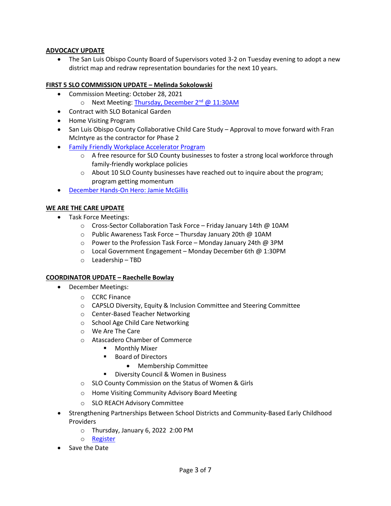# **ADVOCACY UPDATE**

• The San Luis Obispo County Board of Supervisors voted 3-2 on Tuesday evening to adopt a new district map and redraw representation boundaries for the next 10 years.

## **FIRST 5 SLO COMMISSION UPDATE – Melinda Sokolowski**

- Commission Meeting: October 28, 2021
	- o Next Meeting: Thursday, December  $2^{nd}$  @ 11:30AM
- Contract with SLO Botanical Garden
- Home Visiting Program
- San Luis Obispo County Collaborative Child Care Study Approval to move forward with Fran McIntyre as the contractor for Phase 2
- [Family Friendly Workplace Accelerator Program](https://slochamber.org/slo-chamber-announces-new-free-family-friendly-workplace-accelerator-program/) 
	- $\circ$  A free resource for SLO County businesses to foster a strong local workforce through family-friendly workplace policies
	- $\circ$  About 10 SLO County businesses have reached out to inquire about the program; program getting momentum
- December Hands-On Hero: [Jamie McGillis](https://storage.googleapis.com/first5slo-org/uploads/Dec%202021%20Press%20Ready%20Hands-on%20Hero%20Profile.pdf)

### **WE ARE THE CARE UPDATE**

- Task Force Meetings:
	- $\circ$  Cross-Sector Collaboration Task Force Friday January 14th @ 10AM
	- o Public Awareness Task Force Thursday January 20th @ 10AM
	- o Power to the Profession Task Force Monday January 24th @ 3PM
	- o Local Government Engagement Monday December 6th @ 1:30PM
	- o Leadership TBD

### **COORDINATOR UPDATE – Raechelle Bowlay**

- December Meetings:
	- o CCRC Finance
	- o CAPSLO Diversity, Equity & Inclusion Committee and Steering Committee
	- o Center-Based Teacher Networking
	- o School Age Child Care Networking
	- o We Are The Care
	- o Atascadero Chamber of Commerce
		- **•** Monthly Mixer
		- Board of Directors
			- Membership Committee
		- **Diversity Council & Women in Business**
	- o SLO County Commission on the Status of Women & Girls
	- o Home Visiting Community Advisory Board Meeting
	- o SLO REACH Advisory Committee
- Strengthening Partnerships Between School Districts and Community-Based Early Childhood **Providers** 
	- o Thursday, January 6, 2022 2:00 PM
	- o [Register](https://zoom.us/webinar/register/WN_A3bN0H8WSbOXr9pu7qzjig)
- Save the Date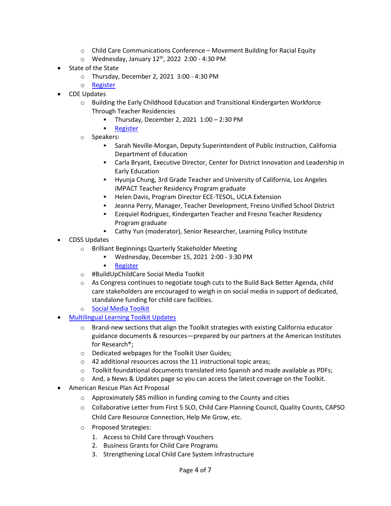- o Child Care Communications Conference Movement Building for Racial Equity
- $\circ$  Wednesday, January 12<sup>th</sup>, 2022 2:00 4:30 PM
- State of the State
	- o Thursday, December 2, 2021 3:00 4:30 PM
	- o [Register](https://db.slochamber.org/events/State-of-the-State-2021-15564/details)
- CDE Updates
	- $\circ$  Building the Early Childhood Education and Transitional Kindergarten Workforce Through Teacher Residencies
		- Thursday, December 2, 2021 1:00 2:30 PM
		- [Register](https://us02web.zoom.us/webinar/register/WN_6HCwDuopT-CIgiOFRbcPeg?_x_zm_rtaid=qR1R6Rd2QSi9IMAVD62sGg.1638303012658.b513d69e3b7452cdbfbe0a8e7538ef38&_x_zm_rhtaid=886)
	- o Speakers:
		- Sarah Neville-Morgan, Deputy Superintendent of Public Instruction, California Department of Education
		- Carla Bryant, Executive Director, Center for District Innovation and Leadership in Early Education
		- Hyunja Chung, 3rd Grade Teacher and University of California, Los Angeles IMPACT Teacher Residency Program graduate
		- **Helen Davis, Program Director ECE-TESOL, UCLA Extension**
		- Jeanna Perry, Manager, Teacher Development, Fresno Unified School District
		- Ezequiel Rodriguez, Kindergarten Teacher and Fresno Teacher Residency Program graduate
		- Cathy Yun (moderator), Senior Researcher, Learning Policy Institute
- CDSS Updates
	- o Brilliant Beginnings Quarterly Stakeholder Meeting
		- Wednesday, December 15, 2021 2:00 3:30 PM
		- **[Register](https://us02web.zoom.us/webinar/register/WN_kHAhR-txSXia_JHZAT735A)**
	- o #BuildUpChildCare Social Media Toolkit
	- $\circ$  As Congress continues to negotiate tough cuts to the Build Back Better Agenda, child care stakeholders are encouraged to weigh in on social media in support of dedicated, standalone funding for child care facilities.
	- o [Social Media Toolkit](https://www.ncfn.org/blog/buildupchildcare-social-media-toolkit)
- [Multilingual Learning Toolkit Updates](https://www.multilinguallearningtoolkit.org/)
	- $\circ$  Brand-new sections that align the Toolkit strategies wit[h existing](https://earlyedgecalifornia.us16.list-manage.com/track/click?u=89a871d7eef03db408f685593&id=8eb0514cfc&e=454d7aad08) California educator guidance documents & resources—prepared by our partners at the American Institutes for Research®;
	- o Dedicated [webpages](https://earlyedgecalifornia.us16.list-manage.com/track/click?u=89a871d7eef03db408f685593&id=dc24500850&e=454d7aad08) for the Toolkit User Guides;
	- o 42 additional resources across the 11 instructional topic areas;
	- $\circ$  Toolkit foundational documents translated into Spanish and made available as PDFs;
	- o And, a [News & Updates](https://earlyedgecalifornia.us16.list-manage.com/track/click?u=89a871d7eef03db408f685593&id=670a66b520&e=454d7aad08) page so you can access the latest coverage on the Toolkit.
- American Rescue Plan Act Proposal
	- o Approximately \$85 million in funding coming to the County and cities
	- o Collaborative Letter from First 5 SLO, Child Care Planning Council, Quality Counts, CAPSO Child Care Resource Connection, Help Me Grow, etc.
	- o Proposed Strategies:
		- 1. Access to Child Care through Vouchers
		- 2. Business Grants for Child Care Programs
		- 3. Strengthening Local Child Care System Infrastructure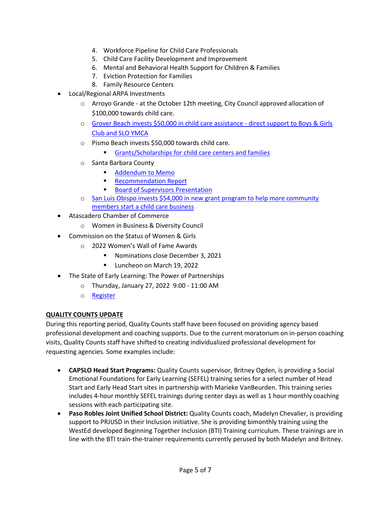- 4. Workforce Pipeline for Child Care Professionals
- 5. Child Care Facility Development and Improvement
- 6. Mental and Behavioral Health Support for Children & Families
- 7. Eviction Protection for Families
- 8. Family Resource Centers
- Local/Regional ARPA Investments
	- o Arroyo Grande at the October 12th meeting, City Council approved allocation of \$100,000 towards child care.
	- o [Grover Beach invests \\$50,000 in child care assistance](https://www.newtimesslo.com/sanluisobispo/grover-beach-invests-50000-in-child-care-assistance/Content?oid=11628432&fbclid=IwAR1o6_3FSKtxiCARnsJrrnRvp_qGtaLfuW5tn8Q4O7tJRQPQrdCumtokvqA)  direct support to Boys & Girls [Club and SLO YMCA](https://www.newtimesslo.com/sanluisobispo/grover-beach-invests-50000-in-child-care-assistance/Content?oid=11628432&fbclid=IwAR1o6_3FSKtxiCARnsJrrnRvp_qGtaLfuW5tn8Q4O7tJRQPQrdCumtokvqA)
	- o Pismo Beach invests \$50,000 towards child care.
		- [Grants/Scholarships for child care centers and families](https://drive.google.com/file/d/14SJVxYZsbh1ffbwiKQo9cy1arC3lzfoa/view)
	- o Santa Barbara County
		- **[Addendum to Memo](https://drive.google.com/file/d/19v54lwgle81hDgzBAnG4TixbOkNwYTC5/view?usp=sharing)**
		- **[Recommendation Report](https://drive.google.com/file/d/1JBiySxW7NrnaDdfgTBX7T9xcYI0-jTCV/view?usp=sharing)**
		- [Board of Supervisors Presentation](https://drive.google.com/file/d/12rSJF9_oynLLzCzvb-waLPSARuBISpa_/view?usp=sharing)
	- o [San Luis Obispo invests \\$54,000 in new grant program to help more community](https://www.slocity.org/Home/Components/News/News/8515/?utm_medium=email&utm_source=govdelivery)  [members start a child care business](https://www.slocity.org/Home/Components/News/News/8515/?utm_medium=email&utm_source=govdelivery)
- Atascadero Chamber of Commerce
	- o Women in Business & Diversity Council
- Commission on the Status of Women & Girls
	- o 2022 Women's Wall of Fame Awards
		- Nominations close December 3, 2021
		- **Luncheon on March 19, 2022**
- The State of Early Learning: The Power of Partnerships
	- o Thursday, January 27, 2022 9:00 11:00 AM
	- o [Register](https://us02web.zoom.us/meeting/register/tZAsd-Cqpj4vGtLb4o3lOhZ7uxwBnkx5Olwi)

# **QUALITY COUNTS UPDATE**

During this reporting period, Quality Counts staff have been focused on providing agency based professional development and coaching supports. Due to the current moratorium on in-person coaching visits, Quality Counts staff have shifted to creating individualized professional development for requesting agencies. Some examples include:

- **CAPSLO Head Start Programs:** Quality Counts supervisor, Britney Ogden, is providing a Social Emotional Foundations for Early Learning (SEFEL) training series for a select number of Head Start and Early Head Start sites in partnership with Marieke VanBeurden. This training series includes 4-hour monthly SEFEL trainings during center days as well as 1 hour monthly coaching sessions with each participating site.
- **Paso Robles Joint Unified School District:** Quality Counts coach, Madelyn Chevalier, is providing support to PRJUSD in their Inclusion initiative. She is providing bimonthly training using the WestEd developed Beginning Together Inclusion (BTI) Training curriculum. These trainings are in line with the BTI train-the-trainer requirements currently perused by both Madelyn and Britney.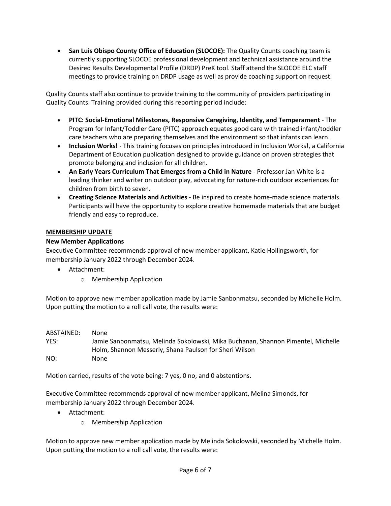• **San Luis Obispo County Office of Education (SLOCOE):** The Quality Counts coaching team is currently supporting SLOCOE professional development and technical assistance around the Desired Results Developmental Profile (DRDP) PreK tool. Staff attend the SLOCOE ELC staff meetings to provide training on DRDP usage as well as provide coaching support on request.

Quality Counts staff also continue to provide training to the community of providers participating in Quality Counts. Training provided during this reporting period include:

- **PITC: Social-Emotional Milestones, Responsive Caregiving, Identity, and Temperament** The Program for Infant/Toddler Care (PITC) approach equates good care with trained infant/toddler care teachers who are preparing themselves and the environment so that infants can learn.
- **Inclusion Works!** This training focuses on principles introduced in Inclusion Works!, a California Department of Education publication designed to provide guidance on proven strategies that promote belonging and inclusion for all children.
- **An Early Years Curriculum That Emerges from a Child in Nature** Professor Jan White is a leading thinker and writer on outdoor play, advocating for nature-rich outdoor experiences for children from birth to seven.
- **Creating Science Materials and Activities** Be inspired to create home-made science materials. Participants will have the opportunity to explore creative homemade materials that are budget friendly and easy to reproduce.

# **MEMBERSHIP UPDATE**

# **New Member Applications**

Executive Committee recommends approval of new member applicant, Katie Hollingsworth, for membership January 2022 through December 2024.

- Attachment:
	- o Membership Application

Motion to approve new member application made by Jamie Sanbonmatsu, seconded by Michelle Holm. Upon putting the motion to a roll call vote, the results were:

| ABSTAINED: | None                                                                             |
|------------|----------------------------------------------------------------------------------|
| YES:       | Jamie Sanbonmatsu, Melinda Sokolowski, Mika Buchanan, Shannon Pimentel, Michelle |
|            | Holm, Shannon Messerly, Shana Paulson for Sheri Wilson                           |
| NO:        | None.                                                                            |

Motion carried, results of the vote being: 7 yes, 0 no, and 0 abstentions.

Executive Committee recommends approval of new member applicant, Melina Simonds, for membership January 2022 through December 2024.

- Attachment:
	- o Membership Application

Motion to approve new member application made by Melinda Sokolowski, seconded by Michelle Holm. Upon putting the motion to a roll call vote, the results were: